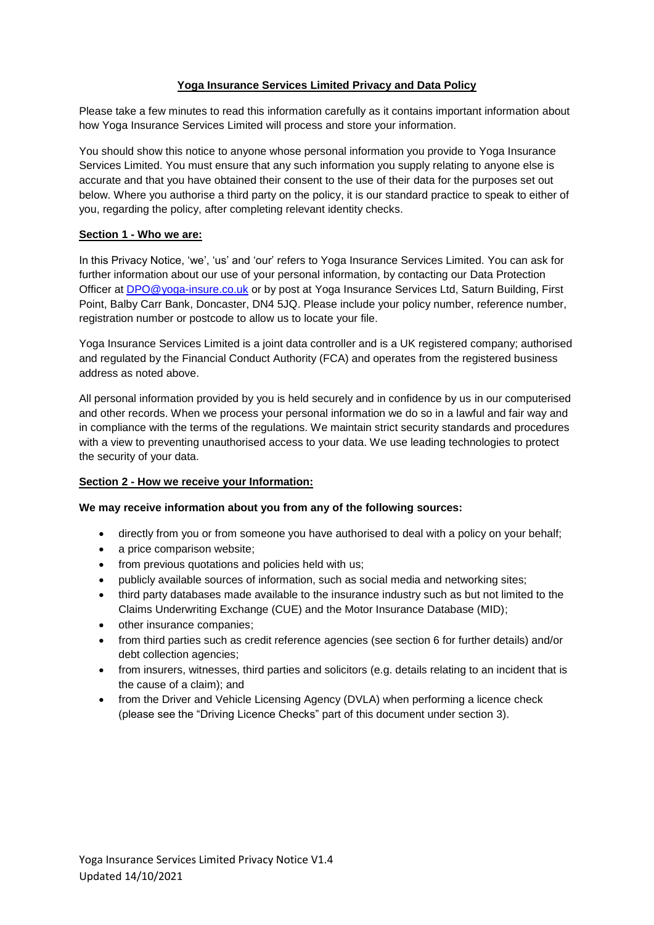## **Yoga Insurance Services Limited Privacy and Data Policy**

Please take a few minutes to read this information carefully as it contains important information about how Yoga Insurance Services Limited will process and store your information.

You should show this notice to anyone whose personal information you provide to Yoga Insurance Services Limited. You must ensure that any such information you supply relating to anyone else is accurate and that you have obtained their consent to the use of their data for the purposes set out below. Where you authorise a third party on the policy, it is our standard practice to speak to either of you, regarding the policy, after completing relevant identity checks.

### **Section 1 - Who we are:**

In this Privacy Notice, 'we', 'us' and 'our' refers to Yoga Insurance Services Limited. You can ask for further information about our use of your personal information, by contacting our Data Protection Officer at [DPO@yoga-insure.co.uk](mailto:DPO@yoga-insure.co.uk) or by post at Yoga Insurance Services Ltd, Saturn Building, First Point, Balby Carr Bank, Doncaster, DN4 5JQ. Please include your policy number, reference number, registration number or postcode to allow us to locate your file.

Yoga Insurance Services Limited is a joint data controller and is a UK registered company; authorised and regulated by the Financial Conduct Authority (FCA) and operates from the registered business address as noted above.

All personal information provided by you is held securely and in confidence by us in our computerised and other records. When we process your personal information we do so in a lawful and fair way and in compliance with the terms of the regulations. We maintain strict security standards and procedures with a view to preventing unauthorised access to your data. We use leading technologies to protect the security of your data.

### **Section 2 - How we receive your Information:**

### **We may receive information about you from any of the following sources:**

- directly from you or from someone you have authorised to deal with a policy on your behalf;
- a price comparison website;
- from previous quotations and policies held with us;
- publicly available sources of information, such as social media and networking sites;
- third party databases made available to the insurance industry such as but not limited to the Claims Underwriting Exchange (CUE) and the Motor Insurance Database (MID);
- other insurance companies;
- from third parties such as credit reference agencies (see section 6 for further details) and/or debt collection agencies;
- from insurers, witnesses, third parties and solicitors (e.g. details relating to an incident that is the cause of a claim); and
- from the Driver and Vehicle Licensing Agency (DVLA) when performing a licence check (please see the "Driving Licence Checks" part of this document under section 3).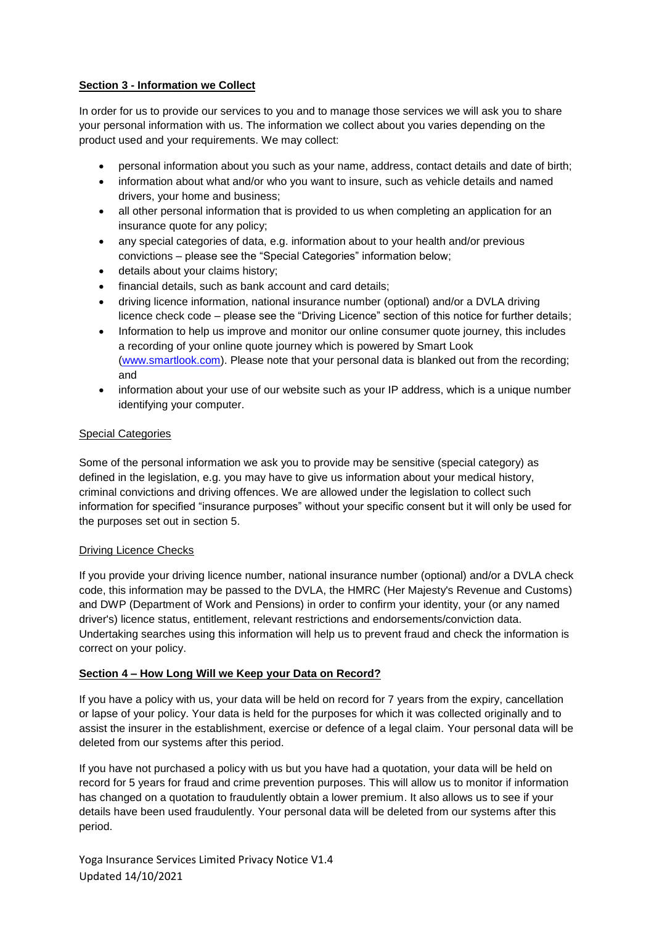## **Section 3 - Information we Collect**

In order for us to provide our services to you and to manage those services we will ask you to share your personal information with us. The information we collect about you varies depending on the product used and your requirements. We may collect:

- personal information about you such as your name, address, contact details and date of birth;
- information about what and/or who you want to insure, such as vehicle details and named drivers, your home and business;
- all other personal information that is provided to us when completing an application for an insurance quote for any policy;
- any special categories of data, e.g. information about to your health and/or previous convictions – please see the "Special Categories" information below;
- details about your claims history;
- financial details, such as bank account and card details;
- driving licence information, national insurance number (optional) and/or a DVLA driving licence check code – please see the "Driving Licence" section of this notice for further details;
- Information to help us improve and monitor our online consumer quote journey, this includes a recording of your online quote journey which is powered by Smart Look [\(www.smartlook.com\)](http://www.smartlook.com/). Please note that your personal data is blanked out from the recording; and
- information about your use of our website such as your IP address, which is a unique number identifying your computer.

### Special Categories

Some of the personal information we ask you to provide may be sensitive (special category) as defined in the legislation, e.g. you may have to give us information about your medical history, criminal convictions and driving offences. We are allowed under the legislation to collect such information for specified "insurance purposes" without your specific consent but it will only be used for the purposes set out in section 5.

### Driving Licence Checks

If you provide your driving licence number, national insurance number (optional) and/or a DVLA check code, this information may be passed to the DVLA, the HMRC (Her Majesty's Revenue and Customs) and DWP (Department of Work and Pensions) in order to confirm your identity, your (or any named driver's) licence status, entitlement, relevant restrictions and endorsements/conviction data. Undertaking searches using this information will help us to prevent fraud and check the information is correct on your policy.

### **Section 4 – How Long Will we Keep your Data on Record?**

If you have a policy with us, your data will be held on record for 7 years from the expiry, cancellation or lapse of your policy. Your data is held for the purposes for which it was collected originally and to assist the insurer in the establishment, exercise or defence of a legal claim. Your personal data will be deleted from our systems after this period.

If you have not purchased a policy with us but you have had a quotation, your data will be held on record for 5 years for fraud and crime prevention purposes. This will allow us to monitor if information has changed on a quotation to fraudulently obtain a lower premium. It also allows us to see if your details have been used fraudulently. Your personal data will be deleted from our systems after this period.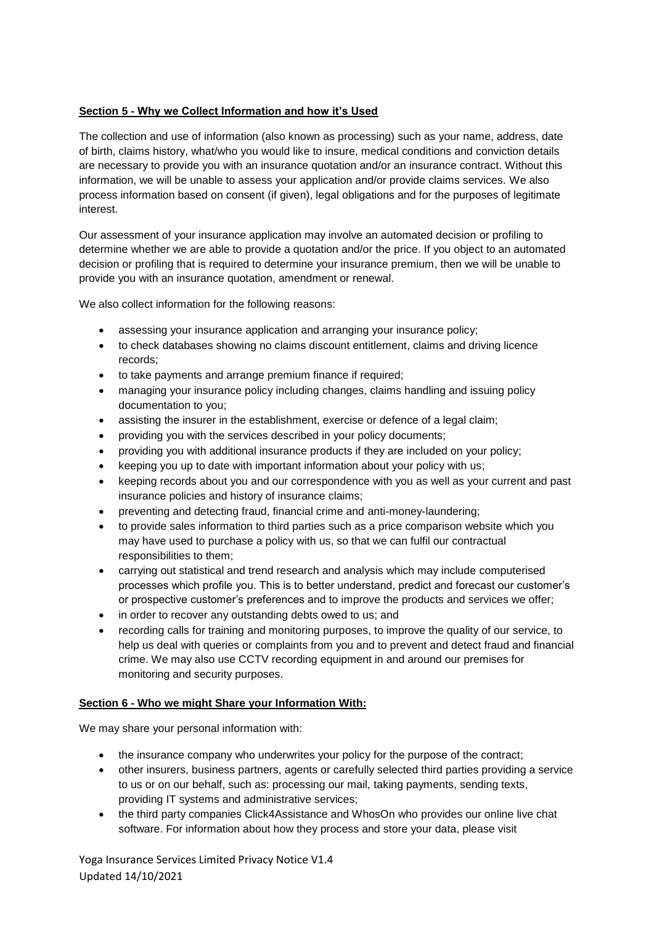# **Section 5 - Why we Collect Information and how it's Used**

The collection and use of information (also known as processing) such as your name, address, date of birth, claims history, what/who you would like to insure, medical conditions and conviction details are necessary to provide you with an insurance quotation and/or an insurance contract. Without this information, we will be unable to assess your application and/or provide claims services. We also process information based on consent (if given), legal obligations and for the purposes of legitimate interest.

Our assessment of your insurance application may involve an automated decision or profiling to determine whether we are able to provide a quotation and/or the price. If you object to an automated decision or profiling that is required to determine your insurance premium, then we will be unable to provide you with an insurance quotation, amendment or renewal.

We also collect information for the following reasons:

- assessing your insurance application and arranging your insurance policy;
- to check databases showing no claims discount entitlement, claims and driving licence records;
- to take payments and arrange premium finance if required;
- managing your insurance policy including changes, claims handling and issuing policy documentation to you;
- assisting the insurer in the establishment, exercise or defence of a legal claim;
- providing you with the services described in your policy documents;
- providing you with additional insurance products if they are included on your policy;
- keeping you up to date with important information about your policy with us;
- keeping records about you and our correspondence with you as well as your current and past insurance policies and history of insurance claims;
- preventing and detecting fraud, financial crime and anti-money-laundering;
- to provide sales information to third parties such as a price comparison website which you may have used to purchase a policy with us, so that we can fulfil our contractual responsibilities to them;
- carrying out statistical and trend research and analysis which may include computerised processes which profile you. This is to better understand, predict and forecast our customer's or prospective customer's preferences and to improve the products and services we offer;
- in order to recover any outstanding debts owed to us; and
- recording calls for training and monitoring purposes, to improve the quality of our service, to help us deal with queries or complaints from you and to prevent and detect fraud and financial crime. We may also use CCTV recording equipment in and around our premises for monitoring and security purposes.

### **Section 6 - Who we might Share your Information With:**

We may share your personal information with:

- the insurance company who underwrites your policy for the purpose of the contract;
- other insurers, business partners, agents or carefully selected third parties providing a service to us or on our behalf, such as: processing our mail, taking payments, sending texts, providing IT systems and administrative services;
- the third party companies Click4Assistance and WhosOn who provides our online live chat software. For information about how they process and store your data, please visit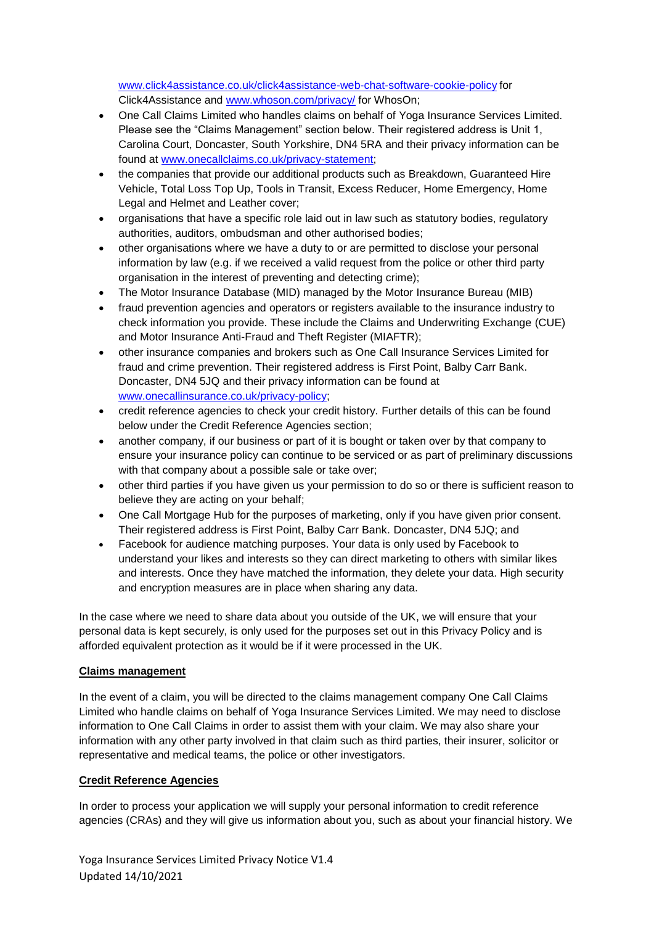<www.click4assistance.co.uk/click4assistance-web-chat-software-cookie-policy> for Click4Assistance and [www.whoson.com/privacy/](https://www.whoson.com/privacy/) for WhosOn;

- One Call Claims Limited who handles claims on behalf of Yoga Insurance Services Limited. Please see the "Claims Management" section below. Their registered address is Unit 1, Carolina Court, Doncaster, South Yorkshire, DN4 5RA and their privacy information can be found at [www.onecallclaims.co.uk/privacy-statement;](http://www.onecallclaims.co.uk/privacy-statement)
- the companies that provide our additional products such as Breakdown, Guaranteed Hire Vehicle, Total Loss Top Up, Tools in Transit, Excess Reducer, Home Emergency, Home Legal and Helmet and Leather cover;
- organisations that have a specific role laid out in law such as statutory bodies, regulatory authorities, auditors, ombudsman and other authorised bodies;
- other organisations where we have a duty to or are permitted to disclose your personal information by law (e.g. if we received a valid request from the police or other third party organisation in the interest of preventing and detecting crime);
- The Motor Insurance Database (MID) managed by the Motor Insurance Bureau (MIB)
- fraud prevention agencies and operators or registers available to the insurance industry to check information you provide. These include the Claims and Underwriting Exchange (CUE) and Motor Insurance Anti-Fraud and Theft Register (MIAFTR);
- other insurance companies and brokers such as One Call Insurance Services Limited for fraud and crime prevention. Their registered address is First Point, Balby Carr Bank. Doncaster, DN4 5JQ and their privacy information can be found at [www.onecallinsurance.co.uk/privacy-policy;](http://www.onecallinsurance.co.uk/privacy-policy)
- credit reference agencies to check your credit history. Further details of this can be found below under the Credit Reference Agencies section;
- another company, if our business or part of it is bought or taken over by that company to ensure your insurance policy can continue to be serviced or as part of preliminary discussions with that company about a possible sale or take over;
- other third parties if you have given us your permission to do so or there is sufficient reason to believe they are acting on your behalf;
- One Call Mortgage Hub for the purposes of marketing, only if you have given prior consent. Their registered address is First Point, Balby Carr Bank. Doncaster, DN4 5JQ; and
- Facebook for audience matching purposes. Your data is only used by Facebook to understand your likes and interests so they can direct marketing to others with similar likes and interests. Once they have matched the information, they delete your data. High security and encryption measures are in place when sharing any data.

In the case where we need to share data about you outside of the UK, we will ensure that your personal data is kept securely, is only used for the purposes set out in this Privacy Policy and is afforded equivalent protection as it would be if it were processed in the UK.

### **Claims management**

In the event of a claim, you will be directed to the claims management company One Call Claims Limited who handle claims on behalf of Yoga Insurance Services Limited. We may need to disclose information to One Call Claims in order to assist them with your claim. We may also share your information with any other party involved in that claim such as third parties, their insurer, solicitor or representative and medical teams, the police or other investigators.

### **Credit Reference Agencies**

In order to process your application we will supply your personal information to credit reference agencies (CRAs) and they will give us information about you, such as about your financial history. We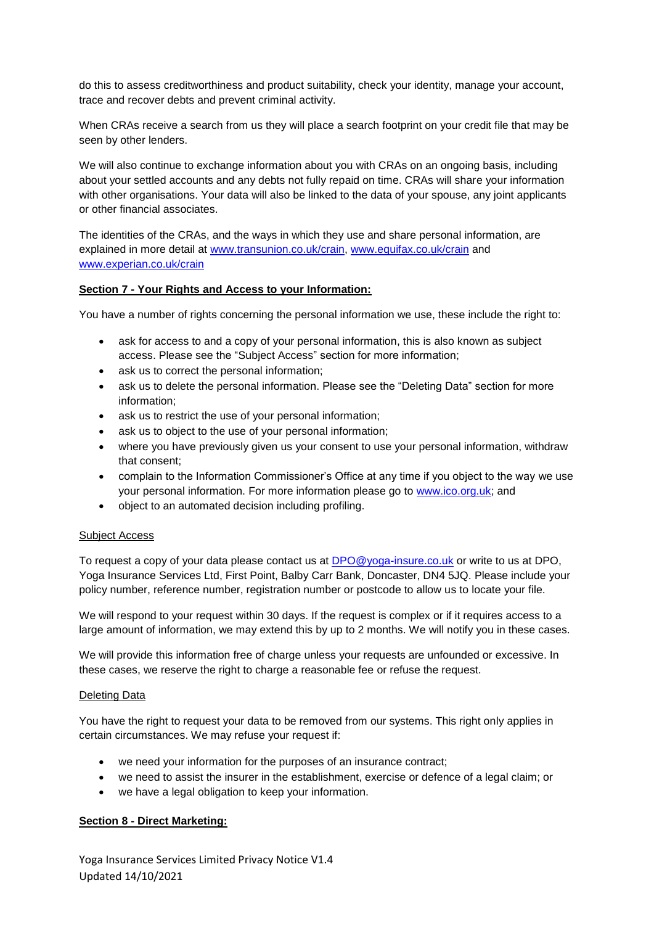do this to assess creditworthiness and product suitability, check your identity, manage your account, trace and recover debts and prevent criminal activity.

When CRAs receive a search from us they will place a search footprint on your credit file that may be seen by other lenders.

We will also continue to exchange information about you with CRAs on an ongoing basis, including about your settled accounts and any debts not fully repaid on time. CRAs will share your information with other organisations. Your data will also be linked to the data of your spouse, any joint applicants or other financial associates.

The identities of the CRAs, and the ways in which they use and share personal information, are explained in more detail at [www.transunion.co.uk/crain,](http://www.transunion.co.uk/crain) [www.equifax.co.uk/crain](http://www.equifax.co.uk/crain) and [www.experian.co.uk/crain](http://www.experian.co.uk/crain)

### **Section 7 - Your Rights and Access to your Information:**

You have a number of rights concerning the personal information we use, these include the right to:

- ask for access to and a copy of your personal information, this is also known as subject access. Please see the "Subject Access" section for more information;
- ask us to correct the personal information;
- ask us to delete the personal information. Please see the "Deleting Data" section for more information;
- ask us to restrict the use of your personal information;
- ask us to object to the use of your personal information;
- where you have previously given us your consent to use your personal information, withdraw that consent;
- complain to the Information Commissioner's Office at any time if you object to the way we use your personal information. For more information please go to [www.ico.org.uk;](http://www.ico.org.uk/) and
- object to an automated decision including profiling.

#### Subject Access

To request a copy of your data please contact us at [DPO@yoga-insure.co.uk](mailto:DPO@yoga-insure.co.uk) or write to us at DPO. Yoga Insurance Services Ltd, First Point, Balby Carr Bank, Doncaster, DN4 5JQ. Please include your policy number, reference number, registration number or postcode to allow us to locate your file.

We will respond to your request within 30 days. If the request is complex or if it requires access to a large amount of information, we may extend this by up to 2 months. We will notify you in these cases.

We will provide this information free of charge unless your requests are unfounded or excessive. In these cases, we reserve the right to charge a reasonable fee or refuse the request.

#### Deleting Data

You have the right to request your data to be removed from our systems. This right only applies in certain circumstances. We may refuse your request if:

- we need your information for the purposes of an insurance contract;
- we need to assist the insurer in the establishment, exercise or defence of a legal claim; or
- we have a legal obligation to keep your information.

#### **Section 8 - Direct Marketing:**